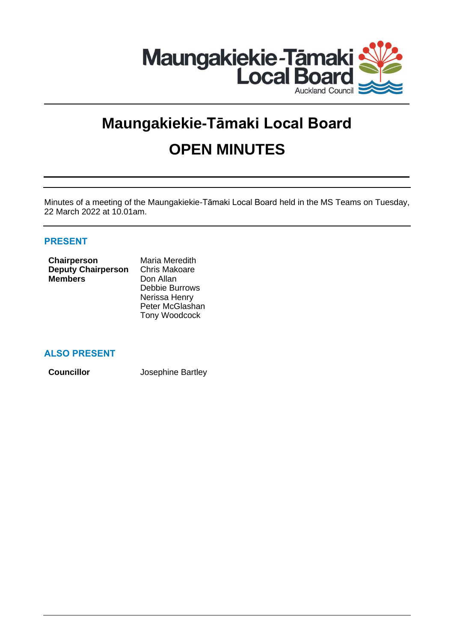

# **Maungakiekie-Tāmaki Local Board OPEN MINUTES**

Minutes of a meeting of the Maungakiekie-Tāmaki Local Board held in the MS Teams on Tuesday, 22 March 2022 at 10.01am.

# **PRESENT**

| Chairperson               | Maria Meredith       |
|---------------------------|----------------------|
| <b>Deputy Chairperson</b> | <b>Chris Makoare</b> |
| <b>Members</b>            | Don Allan            |
|                           | Debbie Burrow        |
|                           | Maniera II.angel     |

ws Nerissa Henry Peter McGlashan Tony Woodcock

# **ALSO PRESENT**

**Councillor** Josephine Bartley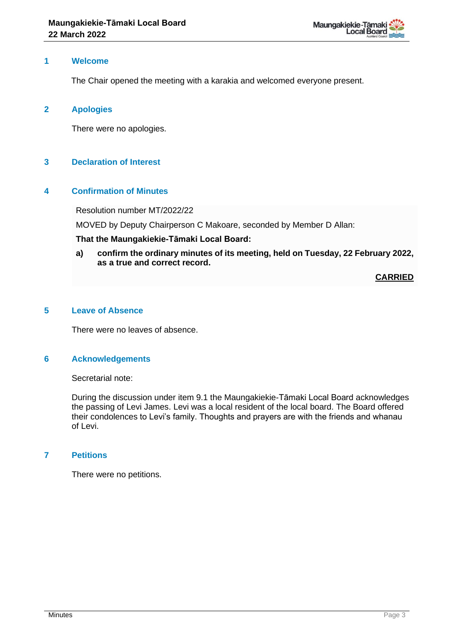

## **1 Welcome**

The Chair opened the meeting with a karakia and welcomed everyone present.

#### **2 Apologies**

There were no apologies.

## **3 Declaration of Interest**

## **4 Confirmation of Minutes**

Resolution number MT/2022/22

MOVED by Deputy Chairperson C Makoare, seconded by Member D Allan:

#### **That the Maungakiekie-Tāmaki Local Board:**

**a) confirm the ordinary minutes of its meeting, held on Tuesday, 22 February 2022, as a true and correct record.**

**CARRIED**

#### **5 Leave of Absence**

There were no leaves of absence.

## **6 Acknowledgements**

Secretarial note:

During the discussion under item 9.1 the Maungakiekie-Tāmaki Local Board acknowledges the passing of Levi James. Levi was a local resident of the local board. The Board offered their condolences to Levi's family. Thoughts and prayers are with the friends and whanau of Levi.

## **7 Petitions**

There were no petitions.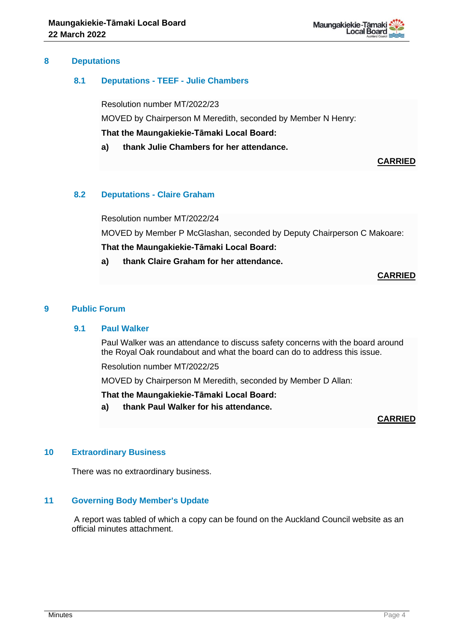

## **8 Deputations**

## **8.1 Deputations - TEEF - Julie Chambers**

Resolution number MT/2022/23 MOVED by Chairperson M Meredith, seconded by Member N Henry: **That the Maungakiekie-Tāmaki Local Board:**

**a) thank Julie Chambers for her attendance.**

**CARRIED**

## **8.2 Deputations - Claire Graham**

Resolution number MT/2022/24

MOVED by Member P McGlashan, seconded by Deputy Chairperson C Makoare:

**That the Maungakiekie-Tāmaki Local Board:**

**a) thank Claire Graham for her attendance.**

**CARRIED**

## **9 Public Forum**

#### **9.1 Paul Walker**

Paul Walker was an attendance to discuss safety concerns with the board around the Royal Oak roundabout and what the board can do to address this issue.

Resolution number MT/2022/25

MOVED by Chairperson M Meredith, seconded by Member D Allan:

**That the Maungakiekie-Tāmaki Local Board:**

**a) thank Paul Walker for his attendance.**

## **CARRIED**

## **10 Extraordinary Business**

There was no extraordinary business.

## **11 Governing Body Member's Update**

A report was tabled of which a copy can be found on the Auckland Council website as an official minutes attachment.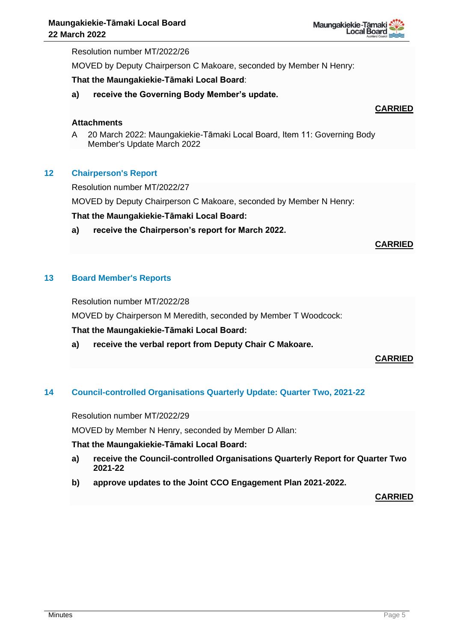

Resolution number MT/2022/26

MOVED by Deputy Chairperson C Makoare, seconded by Member N Henry:

#### **That the Maungakiekie-Tāmaki Local Board**:

**a) receive the Governing Body Member's update.**

## **CARRIED**

## **Attachments**

A 20 March 2022: Maungakiekie-Tāmaki Local Board, Item 11: Governing Body Member's Update March 2022

#### **12 Chairperson's Report**

Resolution number MT/2022/27

MOVED by Deputy Chairperson C Makoare, seconded by Member N Henry:

#### **That the Maungakiekie-Tāmaki Local Board:**

**a) receive the Chairperson's report for March 2022.**

## **CARRIED**

## **13 Board Member's Reports**

Resolution number MT/2022/28

MOVED by Chairperson M Meredith, seconded by Member T Woodcock:

## **That the Maungakiekie-Tāmaki Local Board:**

**a) receive the verbal report from Deputy Chair C Makoare.**

## **CARRIED**

#### **14 Council-controlled Organisations Quarterly Update: Quarter Two, 2021-22**

Resolution number MT/2022/29

MOVED by Member N Henry, seconded by Member D Allan:

#### **That the Maungakiekie-Tāmaki Local Board:**

- **a) receive the Council-controlled Organisations Quarterly Report for Quarter Two 2021-22**
- **b) approve updates to the Joint CCO Engagement Plan 2021-2022.**

**CARRIED**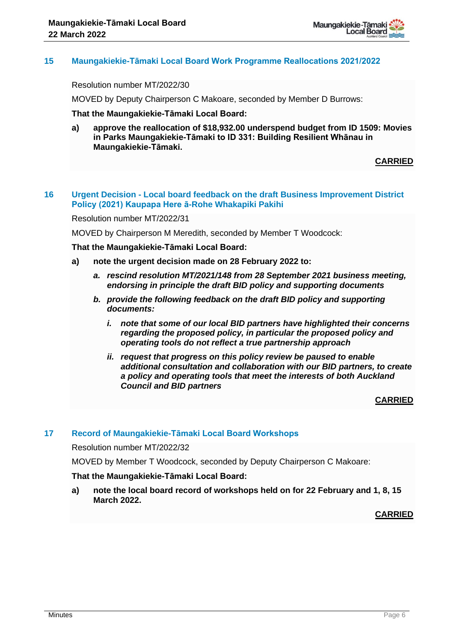

## **15 Maungakiekie-Tāmaki Local Board Work Programme Reallocations 2021/2022**

Resolution number MT/2022/30

MOVED by Deputy Chairperson C Makoare, seconded by Member D Burrows:

**That the Maungakiekie-Tāmaki Local Board:**

**a) approve the reallocation of \$18,932.00 underspend budget from ID 1509: Movies in Parks Maungakiekie-Tāmaki to ID 331: Building Resilient Whānau in Maungakiekie-Tāmaki.**

**CARRIED**

## **16 Urgent Decision - Local board feedback on the draft Business Improvement District Policy (2021) Kaupapa Here ā-Rohe Whakapiki Pakihi**

Resolution number MT/2022/31

MOVED by Chairperson M Meredith, seconded by Member T Woodcock:

**That the Maungakiekie-Tāmaki Local Board:**

- **a) note the urgent decision made on 28 February 2022 to:**
	- *a. rescind resolution MT/2021/148 from 28 September 2021 business meeting, endorsing in principle the draft BID policy and supporting documents*
	- *b. provide the following feedback on the draft BID policy and supporting documents:*
		- *i. note that some of our local BID partners have highlighted their concerns regarding the proposed policy, in particular the proposed policy and operating tools do not reflect a true partnership approach*
		- *ii. request that progress on this policy review be paused to enable additional consultation and collaboration with our BID partners, to create a policy and operating tools that meet the interests of both Auckland Council and BID partners*

**CARRIED**

#### **17 Record of Maungakiekie-Tāmaki Local Board Workshops**

Resolution number MT/2022/32

MOVED by Member T Woodcock, seconded by Deputy Chairperson C Makoare:

#### **That the Maungakiekie-Tāmaki Local Board:**

**a) note the local board record of workshops held on for 22 February and 1, 8, 15 March 2022.** 

**CARRIED**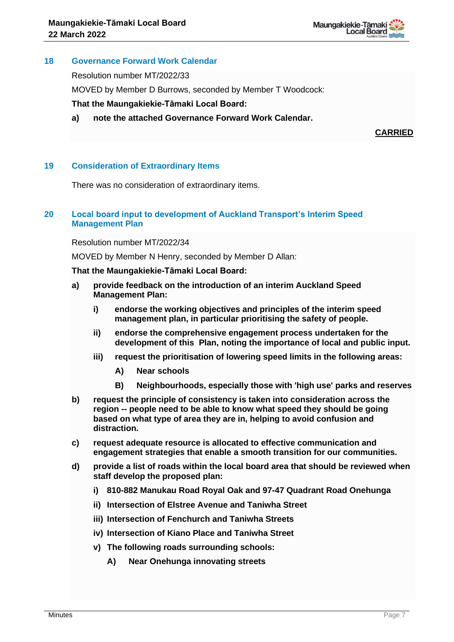

## **18 Governance Forward Work Calendar**

Resolution number MT/2022/33

MOVED by Member D Burrows, seconded by Member T Woodcock:

**That the Maungakiekie-Tāmaki Local Board:**

**a) note the attached Governance Forward Work Calendar.**

**CARRIED**

## **19 Consideration of Extraordinary Items**

There was no consideration of extraordinary items.

## **20 Local board input to development of Auckland Transport's Interim Speed Management Plan**

Resolution number MT/2022/34

MOVED by Member N Henry, seconded by Member D Allan:

#### **That the Maungakiekie-Tāmaki Local Board:**

- **a) provide feedback on the introduction of an interim Auckland Speed Management Plan:**
	- **i) endorse the working objectives and principles of the interim speed management plan, in particular prioritising the safety of people.**
	- **ii) endorse the comprehensive engagement process undertaken for the development of this Plan, noting the importance of local and public input.**
	- **iii) request the prioritisation of lowering speed limits in the following areas:**
		- **A) Near schools**
		- **B) Neighbourhoods, especially those with 'high use' parks and reserves**
- **b) request the principle of consistency is taken into consideration across the region -- people need to be able to know what speed they should be going based on what type of area they are in, helping to avoid confusion and distraction.**
- **c) request adequate resource is allocated to effective communication and engagement strategies that enable a smooth transition for our communities.**
- **d) provide a list of roads within the local board area that should be reviewed when staff develop the proposed plan:**
	- **i) 810-882 Manukau Road Royal Oak and 97-47 Quadrant Road Onehunga**
	- **ii) Intersection of Elstree Avenue and Taniwha Street**
	- **iii) Intersection of Fenchurch and Taniwha Streets**
	- **iv) Intersection of Kiano Place and Taniwha Street**
	- **v) The following roads surrounding schools:**
		- **A) Near Onehunga innovating streets**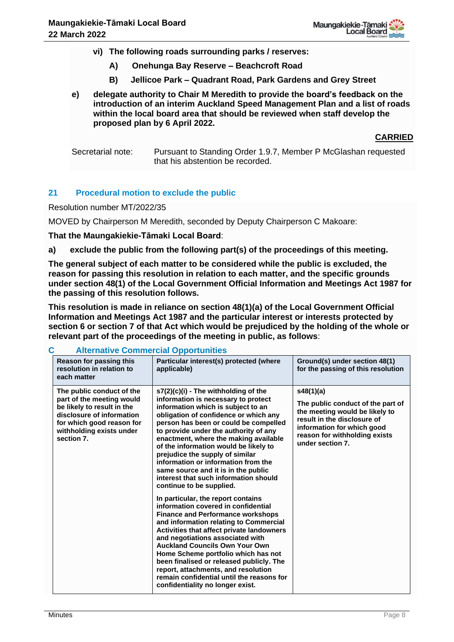- **vi) The following roads surrounding parks / reserves:**
	- **A) Onehunga Bay Reserve – Beachcroft Road**
	- **B) Jellicoe Park – Quadrant Road, Park Gardens and Grey Street**
- **e) delegate authority to Chair M Meredith to provide the board's feedback on the introduction of an interim Auckland Speed Management Plan and a list of roads within the local board area that should be reviewed when staff develop the proposed plan by 6 April 2022.**

**CARRIED**

Secretarial note: Pursuant to Standing Order 1.9.7, Member P McGlashan requested that his abstention be recorded.

## **21 Procedural motion to exclude the public**

Resolution number MT/2022/35

MOVED by Chairperson M Meredith, seconded by Deputy Chairperson C Makoare:

## **That the Maungakiekie-Tāmaki Local Board**:

**a) exclude the public from the following part(s) of the proceedings of this meeting.**

**The general subject of each matter to be considered while the public is excluded, the reason for passing this resolution in relation to each matter, and the specific grounds under section 48(1) of the Local Government Official Information and Meetings Act 1987 for the passing of this resolution follows.**

**This resolution is made in reliance on section 48(1)(a) of the Local Government Official Information and Meetings Act 1987 and the particular interest or interests protected by section 6 or section 7 of that Act which would be prejudiced by the holding of the whole or relevant part of the proceedings of the meeting in public, as follows**:

| Reason for passing this<br>resolution in relation to<br>each matter                                                                                                                      | Particular interest(s) protected (where<br>applicable)                                                                                                                                                                                                                                                                                                                                                                                                                                                               | Ground(s) under section 48(1)<br>for the passing of this resolution                                                                                                                                |
|------------------------------------------------------------------------------------------------------------------------------------------------------------------------------------------|----------------------------------------------------------------------------------------------------------------------------------------------------------------------------------------------------------------------------------------------------------------------------------------------------------------------------------------------------------------------------------------------------------------------------------------------------------------------------------------------------------------------|----------------------------------------------------------------------------------------------------------------------------------------------------------------------------------------------------|
| The public conduct of the<br>part of the meeting would<br>be likely to result in the<br>disclosure of information<br>for which good reason for<br>withholding exists under<br>section 7. | s7(2)(c)(i) - The withholding of the<br>information is necessary to protect<br>information which is subject to an<br>obligation of confidence or which any<br>person has been or could be compelled<br>to provide under the authority of any<br>enactment, where the making available<br>of the information would be likely to<br>prejudice the supply of similar<br>information or information from the<br>same source and it is in the public<br>interest that such information should<br>continue to be supplied. | s48(1)(a)<br>The public conduct of the part of<br>the meeting would be likely to<br>result in the disclosure of<br>information for which good<br>reason for withholding exists<br>under section 7. |
|                                                                                                                                                                                          | In particular, the report contains<br>information covered in confidential<br><b>Finance and Performance workshops</b><br>and information relating to Commercial<br>Activities that affect private landowners<br>and negotiations associated with<br><b>Auckland Councils Own Your Own</b><br>Home Scheme portfolio which has not<br>been finalised or released publicly. The<br>report, attachments, and resolution<br>remain confidential until the reasons for<br>confidentiality no longer exist.                 |                                                                                                                                                                                                    |

**C Alternative Commercial Opportunities**